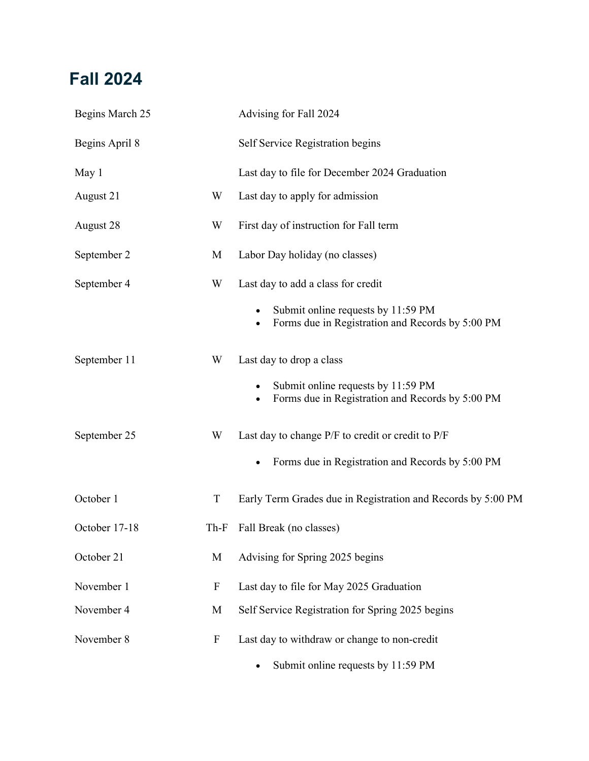### **Fall 2024**

| Begins March 25 |             | Advising for Fall 2024                                                                                                                    |
|-----------------|-------------|-------------------------------------------------------------------------------------------------------------------------------------------|
| Begins April 8  |             | Self Service Registration begins                                                                                                          |
| May 1           |             | Last day to file for December 2024 Graduation                                                                                             |
| August 21       | W           | Last day to apply for admission                                                                                                           |
| August 28       | W           | First day of instruction for Fall term                                                                                                    |
| September 2     | M           | Labor Day holiday (no classes)                                                                                                            |
| September 4     | W           | Last day to add a class for credit<br>Submit online requests by 11:59 PM<br>Forms due in Registration and Records by 5:00 PM<br>$\bullet$ |
| September 11    | W           | Last day to drop a class<br>Submit online requests by 11:59 PM<br>Forms due in Registration and Records by 5:00 PM                        |
| September 25    | W           | Last day to change P/F to credit or credit to P/F<br>Forms due in Registration and Records by 5:00 PM                                     |
| October 1       | T           | Early Term Grades due in Registration and Records by 5:00 PM                                                                              |
| October 17-18   | Th-F        | Fall Break (no classes)                                                                                                                   |
| October 21      | M           | Advising for Spring 2025 begins                                                                                                           |
| November 1      | $\mathbf F$ | Last day to file for May 2025 Graduation                                                                                                  |
| November 4      | M           | Self Service Registration for Spring 2025 begins                                                                                          |
| November 8      | ${\bf F}$   | Last day to withdraw or change to non-credit<br>Submit online requests by 11:59 PM                                                        |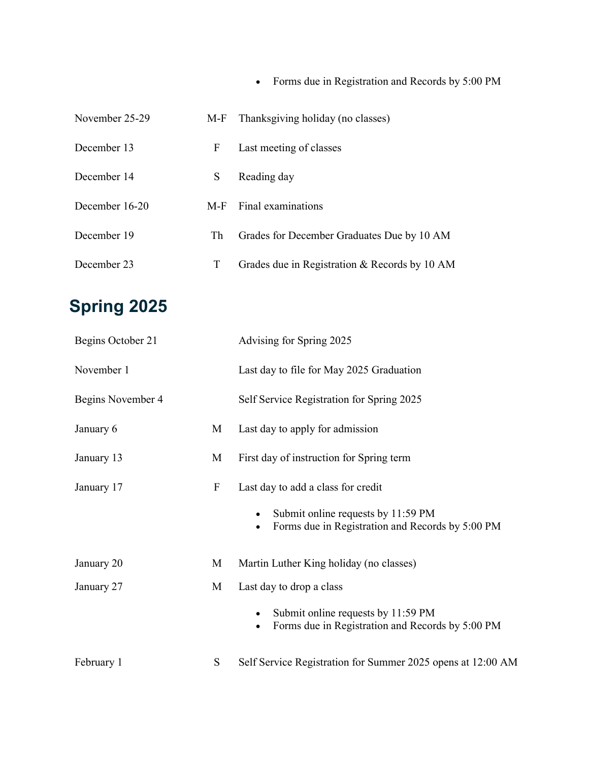|                |   | • Forms due in Registration and Records by 5:00 PM |
|----------------|---|----------------------------------------------------|
| November 25-29 |   | M-F Thanksgiving holiday (no classes)              |
| December 13    |   | F Last meeting of classes                          |
| December 14    |   | S Reading day                                      |
| December 16-20 |   | M-F Final examinations                             |
| December 19    |   | Th Grades for December Graduates Due by 10 AM      |
| December 23    | T | Grades due in Registration & Records by 10 AM      |

# **Spring 2025**

| Begins October 21 |             | Advising for Spring 2025                                                                                                     |
|-------------------|-------------|------------------------------------------------------------------------------------------------------------------------------|
| November 1        |             | Last day to file for May 2025 Graduation                                                                                     |
| Begins November 4 |             | Self Service Registration for Spring 2025                                                                                    |
| January 6         | M           | Last day to apply for admission                                                                                              |
| January 13        | M           | First day of instruction for Spring term                                                                                     |
| January 17        | $\mathbf F$ | Last day to add a class for credit<br>Submit online requests by 11:59 PM<br>Forms due in Registration and Records by 5:00 PM |
| January 20        | M           | Martin Luther King holiday (no classes)                                                                                      |
| January 27        | M           | Last day to drop a class<br>Submit online requests by 11:59 PM<br>Forms due in Registration and Records by 5:00 PM           |
| February 1        | S           | Self Service Registration for Summer 2025 opens at 12:00 AM                                                                  |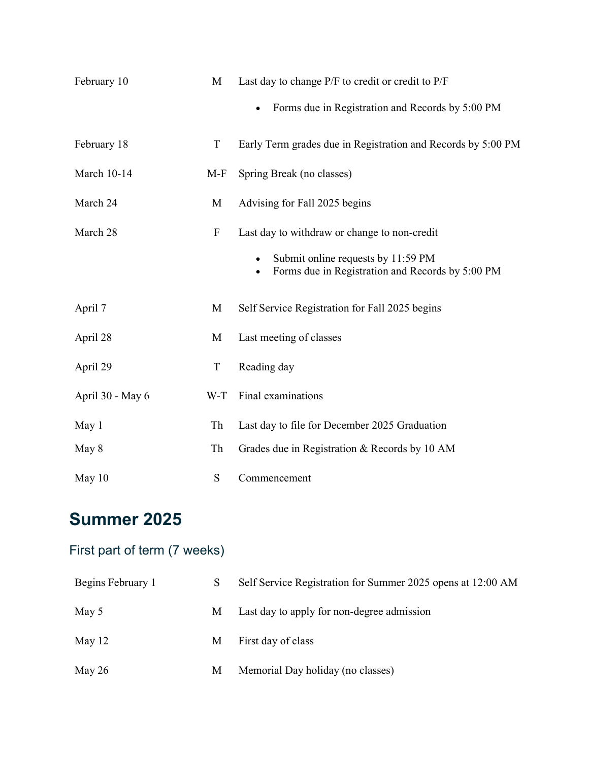| February 10        | M                         | Last day to change P/F to credit or credit to P/F<br>Forms due in Registration and Records by 5:00 PM                                  |
|--------------------|---------------------------|----------------------------------------------------------------------------------------------------------------------------------------|
| February 18        | T                         | Early Term grades due in Registration and Records by 5:00 PM                                                                           |
| <b>March 10-14</b> | $M-F$                     | Spring Break (no classes)                                                                                                              |
| March 24           | M                         | Advising for Fall 2025 begins                                                                                                          |
| March 28           | $\boldsymbol{\mathrm{F}}$ | Last day to withdraw or change to non-credit<br>Submit online requests by 11:59 PM<br>Forms due in Registration and Records by 5:00 PM |
| April 7            | M                         | Self Service Registration for Fall 2025 begins                                                                                         |
| April 28           | M                         | Last meeting of classes                                                                                                                |
| April 29           | $\mathbf T$               | Reading day                                                                                                                            |
| April 30 - May 6   | W-T                       | Final examinations                                                                                                                     |
| May 1              | Th                        | Last day to file for December 2025 Graduation                                                                                          |
| May 8              | Th                        | Grades due in Registration & Records by 10 AM                                                                                          |
| May 10             | S                         | Commencement                                                                                                                           |

## **Summer 2025**

#### First part of term (7 weeks)

| Begins February 1 | S | Self Service Registration for Summer 2025 opens at 12:00 AM |
|-------------------|---|-------------------------------------------------------------|
| May 5             |   | M Last day to apply for non-degree admission                |
| May 12            |   | M First day of class                                        |
| May 26            |   | M Memorial Day holiday (no classes)                         |